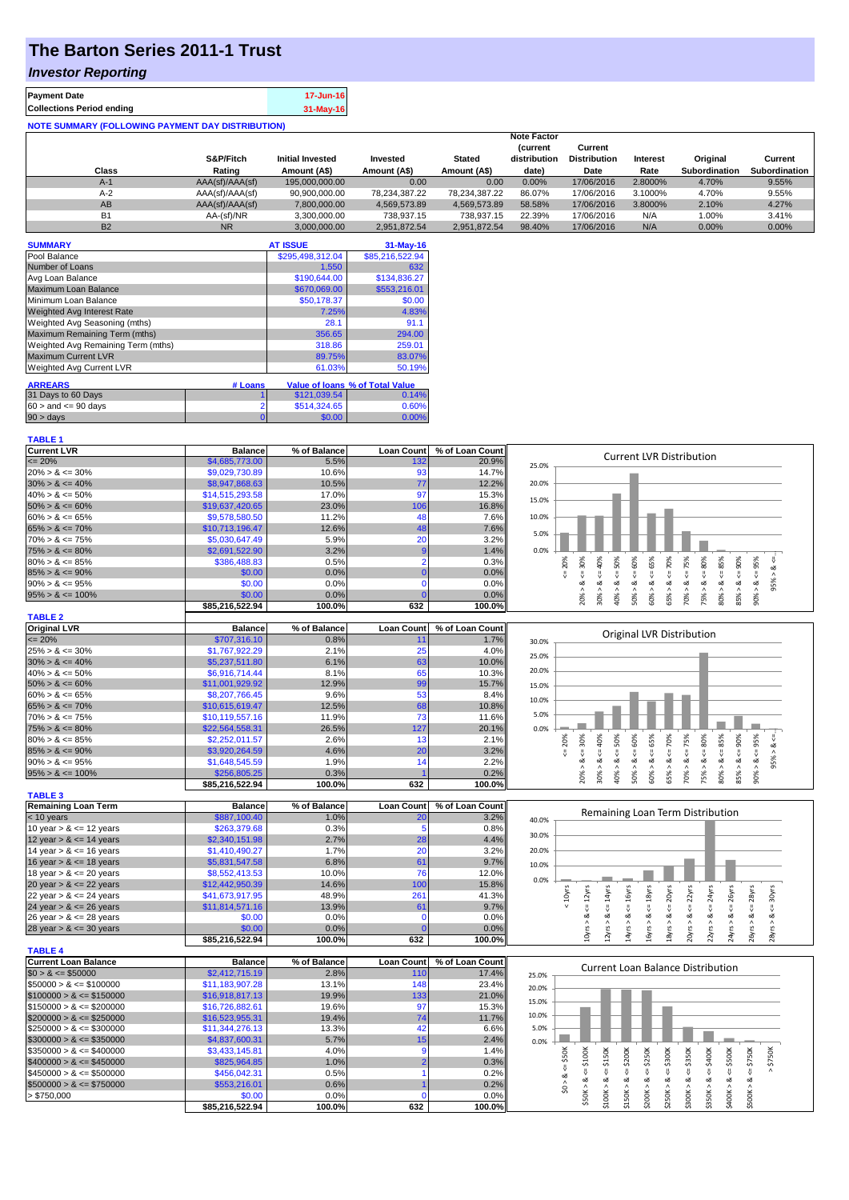## **The Barton Series 2011-1 Trust**

## *Investor Reporting*

| <b>Payment Date</b>                                      | 17-Jun-16 |  |  |  |  |  |  |  |
|----------------------------------------------------------|-----------|--|--|--|--|--|--|--|
| <b>Collections Period ending</b>                         | 31-May-16 |  |  |  |  |  |  |  |
| <b>NOTE SUMMARY (FOLLOWING PAYMENT DAY DISTRIBUTION)</b> |           |  |  |  |  |  |  |  |

| Class     | S&P/Fitch<br>Rating | <b>Initial Invested</b><br>Amount (A\$) | Invested<br>Amount (A\$) | <b>Stated</b><br>Amount (A\$) | <b>Note Factor</b><br><b>(current</b><br>distribution<br>date) | Current<br><b>Distribution</b><br>Date | Interest<br>Rate | Original<br><b>Subordination</b> | Current<br>Subordination |
|-----------|---------------------|-----------------------------------------|--------------------------|-------------------------------|----------------------------------------------------------------|----------------------------------------|------------------|----------------------------------|--------------------------|
| A-1       | AAA(sf)/AAA(sf)     | 195,000,000,00                          | 0.00                     | 0.00                          | 0.00%                                                          | 17/06/2016                             | 2.8000%          | 4.70%                            | 9.55%                    |
| $A-2$     | AAA(sf)/AAA(sf)     | 90.900.000.00                           | 78.234.387.22            | 78.234.387.22                 | 86.07%                                                         | 17/06/2016                             | 3.1000%          | 4.70%                            | 9.55%                    |
| AB        | AAA(sf)/AAA(sf)     | 7.800.000.00                            | 4.569.573.89             | 4.569.573.89                  | 58.58%                                                         | 17/06/2016                             | 3.8000%          | 2.10%                            | 4.27%                    |
| <b>B1</b> | AA-(sf)/NR          | 3,300,000.00                            | 738.937.15               | 738,937.15                    | 22.39%                                                         | 17/06/2016                             | N/A              | 1.00%                            | 3.41%                    |
| <b>B2</b> | <b>NR</b>           | 3.000.000.00                            | 2.951.872.54             | 2.951.872.54                  | 98.40%                                                         | 17/06/2016                             | N/A              | 0.00%                            | 0.00%                    |

| <b>SUMMARY</b>                     |         | <b>AT ISSUE</b>  | $31-May-16$                     |
|------------------------------------|---------|------------------|---------------------------------|
| Pool Balance                       |         | \$295,498,312.04 | \$85,216,522.94                 |
| Number of Loans                    |         | 1.550            | 632                             |
| Avg Loan Balance                   |         | \$190,644.00     | \$134,836.27                    |
| Maximum Loan Balance               |         | \$670,069.00     | \$553,216.01                    |
| Minimum Loan Balance               |         | \$50,178.37      | \$0.00                          |
| <b>Weighted Avg Interest Rate</b>  |         | 7.25%            | 4.83%                           |
| Weighted Avg Seasoning (mths)      |         | 28.1             | 91.1                            |
| Maximum Remaining Term (mths)      |         | 356.65           | 294.00                          |
| Weighted Avg Remaining Term (mths) |         | 318.86           | 259.01                          |
| <b>Maximum Current LVR</b>         |         | 89.75%           | 83.07%                          |
| Weighted Avg Current LVR           |         | 61.03%           | 50.19%                          |
| <b>ARREARS</b>                     | # Loans |                  | Value of Ioans % of Total Value |
| 31 Days to 60 Days                 |         | \$121,039.54     | 0.14%                           |
| $60 >$ and $\leq 90$ days          | 2       | \$514,324.65     | 0.60%                           |
| $90 >$ days                        | 0       | \$0.00           | $0.00\%$                        |

| <b>Current LVR</b>   | <b>Balance</b>  | % of Balance | <b>Loan Count</b> | % of Loan Count |       |                                 |  |   |   |   |    |    |    |    |        |  |  |
|----------------------|-----------------|--------------|-------------------|-----------------|-------|---------------------------------|--|---|---|---|----|----|----|----|--------|--|--|
| $\leq$ 20%           | \$4,685,773.00  | 5.5%         | 132               | 20.9%           | 25.0% | <b>Current LVR Distribution</b> |  |   |   |   |    |    |    |    |        |  |  |
| $20\% > 8 \le 30\%$  | \$9,029,730.89  | 10.6%        | 93                | 14.7%           |       |                                 |  |   |   |   |    |    |    |    |        |  |  |
| $30\% > 8 \le 40\%$  | \$8,947,868.63  | 10.5%        | 77                | 12.2%           | 20.0% |                                 |  |   |   |   |    |    |    |    |        |  |  |
| $40\% > 8 \le 50\%$  | \$14,515,293.58 | 17.0%        | 97                | 15.3%           | 15.0% |                                 |  |   |   |   |    |    |    |    |        |  |  |
| $50\% > 8 \le 60\%$  | \$19,637,420.65 | 23.0%        | 106               | 16.8%           |       |                                 |  |   |   |   |    |    |    |    |        |  |  |
| $60\% > 8 \le 65\%$  | \$9,578,580.50  | 11.2%        | 48                | 7.6%            | 10.0% |                                 |  |   |   |   |    |    |    |    |        |  |  |
| $65\% > 8 \le 70\%$  | \$10,713,196.47 | 12.6%        | 48                | 7.6%            | 5.0%  |                                 |  |   |   |   |    |    |    |    |        |  |  |
| $70\% > 8 \le 75\%$  | \$5,030,647.49  | 5.9%         | 20                | 3.2%            |       |                                 |  |   |   |   |    |    |    |    |        |  |  |
| $75\% > 8 \le 80\%$  | \$2,691,522.90  | 3.2%         |                   | 1.4%            | 0.0%  |                                 |  |   |   |   |    |    |    |    |        |  |  |
| $80\% > 8 \le 85\%$  | \$386,488,83    | 0.5%         |                   | 0.3%            |       |                                 |  |   |   |   |    | ∘  |    |    | $\sim$ |  |  |
| $85\% > 8 \le 90\%$  | \$0.00          | 0.0%         |                   | 0.0%            |       |                                 |  |   |   |   |    |    |    |    |        |  |  |
| $90\% > 8 \le 95\%$  | \$0.00          | 0.0%         |                   | 0.0%            |       |                                 |  |   |   |   |    |    |    |    |        |  |  |
| $95\% > 8 \le 100\%$ | \$0.00          | 0.0%         |                   | 0.0%            |       |                                 |  |   | ◓ |   | පි | s. | ŭ. |    |        |  |  |
|                      | \$85.216.522.94 | 100.0%       | 632               | 100.0%          |       |                                 |  | 읐 |   | Ř |    | m  | 5  | දි |        |  |  |

 $95% > 8 <=$ .

 $\text{Myrs} > 8 \leq 30 \text{yrs}$ 

 $5yrs > 8 \le 28yrs$ 

 $20yrs > 8s \le 22yrs$  $22yrs > 8 <= 24yrs$  $24yrs > 8s \leq 26yrs$ 26yrs > & <= 28yrs 28yrs > & <= 30yrs

| <b>TABLE 2</b>       |                 |              |                   |                 |       |     |                           |      |   |   |   |   |   |    |     |     |     |
|----------------------|-----------------|--------------|-------------------|-----------------|-------|-----|---------------------------|------|---|---|---|---|---|----|-----|-----|-----|
| <b>Original LVR</b>  | <b>Balance</b>  | % of Balance | <b>Loan Count</b> | % of Loan Count |       |     |                           |      |   |   |   |   |   |    |     |     |     |
| $\leq$ 20%           | \$707,316.10    | 0.8%         |                   | 1.7%            | 30.0% |     | Original LVR Distribution |      |   |   |   |   |   |    |     |     |     |
| $25\% > 8 \le 30\%$  | \$1,767,922,29  | 2.1%         | 25                | $4.0\%$         | 25.0% |     |                           |      |   |   |   |   |   |    |     |     |     |
| $30\% > 8 \le 40\%$  | \$5,237,511.80  | 6.1%         | 63                | 10.0%           |       |     |                           |      |   |   |   |   |   |    |     |     |     |
| $40\% > 8 \le 50\%$  | \$6,916,714,44  | 8.1%         | 65                | 10.3%           | 20.0% |     |                           |      |   |   |   |   |   |    |     |     |     |
| $50\% > 8 \le 60\%$  | \$11.001.929.92 | 12.9%        | 99                | 15.7%           | 15.0% |     |                           |      |   |   |   |   |   |    |     |     |     |
| $60\% > 8 \le 65\%$  | \$8,207,766.45  | 9.6%         | 53                | $8.4\%$         | 10.0% |     |                           |      |   |   |   |   |   |    |     |     |     |
| $65\% > 8 \le 70\%$  | \$10,615,619.47 | 12.5%        | 68                | 10.8%           |       |     |                           |      |   |   |   |   |   |    |     |     |     |
| $70\% > 8 \le 75\%$  | \$10,119,557.16 | 11.9%        | 73                | 11.6%           | 5.0%  |     |                           |      |   |   |   |   |   |    |     |     |     |
| $75\% > 8 \le 80\%$  | \$22,564,558.31 | 26.5%        | 127               | 20.1%           | 0.0%  |     |                           |      |   |   |   |   |   |    |     |     |     |
| $80\% > 8 \le 85\%$  | \$2,252,011.57  | 2.6%         | 13                | 2.1%            |       | 20% | 30%                       | 6%   | š | š | ŝ | ğ | ř | šõ | 85% | 80% | 95% |
| $85\% > 8 \le 90\%$  | \$3,920,264.59  | 4.6%         | 20                | 3.2%            |       |     |                           |      |   |   |   |   |   |    |     |     |     |
| $90\% > 8 \le 95\%$  | \$1,648,545.59  | 1.9%         | 14                | 2.2%            |       |     | ∝                         |      | ∝ |   | œ |   | ∝ |    |     |     | ∝   |
| $95\% > 8 \le 100\%$ | \$256,805.25    | 0.3%         |                   | 0.2%            |       |     | ĝ0                        | క్లి | ŝ | š | ŝ | ∝ | ĝ |    | 80% | 85% | 90% |
|                      | \$85.216.522.94 | 100.0%       | 632               | 100.0%l         |       |     |                           |      |   |   |   | Ř |   | Ř  |     |     |     |

| <b>TABLE 3</b>             |                 |              |                    |                 |       |   |                                  |   |    |   |    |                  |  |
|----------------------------|-----------------|--------------|--------------------|-----------------|-------|---|----------------------------------|---|----|---|----|------------------|--|
| <b>Remaining Loan Term</b> | <b>Balance</b>  | % of Balance | <b>Loan Countl</b> | % of Loan Count |       |   |                                  |   |    |   |    |                  |  |
| $<$ 10 years               | \$887,100.40    | 1.0%         | 20                 | 3.2%            | 40.0% |   | Remaining Loan Term Distribution |   |    |   |    |                  |  |
| 10 year $> 8 \le 12$ years | \$263,379.68    | 0.3%         |                    | 0.8%            |       |   |                                  |   |    |   |    |                  |  |
| 12 year $> 8 \le 14$ years | \$2,340,151.98  | 2.7%         | 28                 | 4.4%            | 30.0% |   |                                  |   |    |   |    |                  |  |
| 14 year $> 8 \le 16$ years | \$1,410,490.27  | 1.7%         | 20                 | 3.2%            | 20.0% |   |                                  |   |    |   |    |                  |  |
| 16 year $> 8 \le 18$ years | \$5,831,547.58  | 6.8%         | 61                 | 9.7%            | 10.0% |   |                                  |   |    |   |    |                  |  |
| 18 year $> 8 \le 20$ years | \$8,552,413,53  | $10.0\%$     | 76                 | 12.0%           |       |   |                                  |   |    |   |    |                  |  |
| 20 year $> 8 \le 22$ years | \$12,442,950.39 | 14.6%        | 100                | 15.8%           | 0.0%  |   |                                  |   |    |   |    |                  |  |
| 22 year $> 8 \le 24$ years | \$41,673,917.95 | 48.9%        | 261                | 41.3%           |       | Ñ |                                  | డ | వ్ | ξ | Σř |                  |  |
| 24 year $> 8 \le 26$ years | \$11,814,571.16 | 13.9%        | 61                 | 9.7%            |       |   |                                  |   |    |   |    |                  |  |
| 26 year $> 8 \le 28$ years | \$0.00          | $0.0\%$      |                    | 0.0%            |       |   |                                  |   | ο× | ∞ |    |                  |  |
| 28 year $> 8 \le 30$ years | \$0.00          | 0.0%         |                    | 0.0%            |       |   |                                  |   |    |   |    |                  |  |
|                            | \$85.216.522.94 | 100.0%       | 632                | 100.0%          |       | ≘ |                                  |   | œ  | శ | Ő  | $\sim$<br>$\sim$ |  |

|                              | <b>POJ, ZIO, JZZ.J4</b> | 100.070      | <b>UJA</b>        | 100.070         | -<br>-<br>$\sim$<br>$\sim$        |
|------------------------------|-------------------------|--------------|-------------------|-----------------|-----------------------------------|
| <b>TABLE 4</b>               |                         |              |                   |                 |                                   |
| Current Loan Balance         | <b>Balance</b>          | % of Balance | <b>Loan Count</b> | % of Loan Count | Current Loan Balance Distribution |
| $$0 > 8 \leq $50000$         | \$2,412,715.19          | 2.8%         | 110               | 17.4%           | 25.0%                             |
| $\$50000 > 8 \leq \$100000$  | \$11,183,907.28         | 13.1%        | 148               | 23.4%           | 20.0%                             |
| $$100000 > 8 \leq $150000$   | \$16,918,817,13         | 19.9%        | 133               | 21.0%           |                                   |
| $$150000 > 8 \leq $200000$   | \$16,726,882.61         | 19.6%        | 97                | 15.3%           | 15.0%                             |
| $$200000 > 8 \leq $250000$   | \$16,523,955.31         | 19.4%        | 74                | 11.7%           | 10.0%                             |
| $$250000 > 8 \leq $300000$   | \$11,344,276.13         | 13.3%        |                   | 6.6%            | 5.0%                              |
| $$300000 > 8 \leq $350000$   | \$4,837,600.31          | 5.7%         | 15 <sub>1</sub>   | 2.4%            | 0.0%                              |
| $\$350000 > 8 \leq \$400000$ | \$3,433,145.81          | 4.0%         |                   | 1.4%            | ŏ<br>50K<br>350K<br>300K<br>8     |
| $$400000 > 8 \leq $450000$   | \$825,964.85            | 1.0%         |                   | 0.3%            | \$250K<br>s,                      |
| $$450000 > 8 \leq $500000$   | \$456,042.31            | 0.5%         |                   | 0.2%            |                                   |
| $$500000 > 8 \leq $750000$   | \$553,216.01            | 0.6%         |                   | 0.2%            |                                   |
| > \$750,000                  | \$0.00                  | 0.0%         |                   | $0.0\%$         | ⌒                                 |
|                              | \$85.216.522.94         | 100.0%       | 632               | 100.0%ll        |                                   |